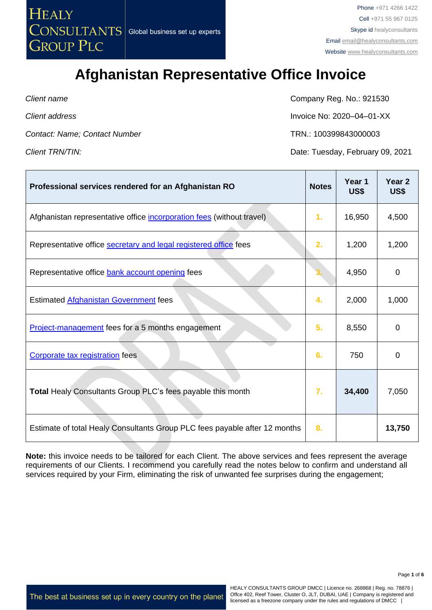

*Contact: Name; Contact Number* TRN.: 100399843000003

**Client name** Company Reg. No.: 921530

*Client address* Invoice No: 2020–04–01-XX

┯

المسترد

*Client TRN/TIN:* Date: Tuesday, February 09, 2021

 $\mathbf{r}$ 

| Professional services rendered for an Afghanistan RO                       | <b>Notes</b> | Year 1<br>US\$ | Year <sub>2</sub><br>US\$ |
|----------------------------------------------------------------------------|--------------|----------------|---------------------------|
| Afghanistan representative office incorporation fees (without travel)      | 1.           | 16,950         | 4,500                     |
| Representative office secretary and legal registered office fees           | 2.           | 1,200          | 1,200                     |
| Representative office bank account opening fees                            |              | 4,950          | 0                         |
| Estimated Afghanistan Government fees                                      | 4.           | 2,000          | 1,000                     |
| Project-management fees for a 5 months engagement                          | 5.           | 8,550          | 0                         |
| Corporate tax registration fees                                            | 6.           | 750            | 0                         |
| <b>Total Healy Consultants Group PLC's fees payable this month</b>         | 7.           | 34,400         | 7,050                     |
| Estimate of total Healy Consultants Group PLC fees payable after 12 months | 8.           |                | 13,750                    |

**Note:** this invoice needs to be tailored for each Client. The above services and fees represent the average requirements of our Clients. I recommend you carefully read the notes below to confirm and understand all services required by your Firm, eliminating the risk of unwanted fee surprises during the engagement;

The best at business set up in every country on the planet

HEALY CONSULTANTS GROUP DMCC | Licence no. 268868 | Reg. no. 78876 | Offce 402, Reef Tower, Cluster O, JLT, DUBAI, UAE | Company is registered and licensed as a freezone company under the rules and regulations of DMCC |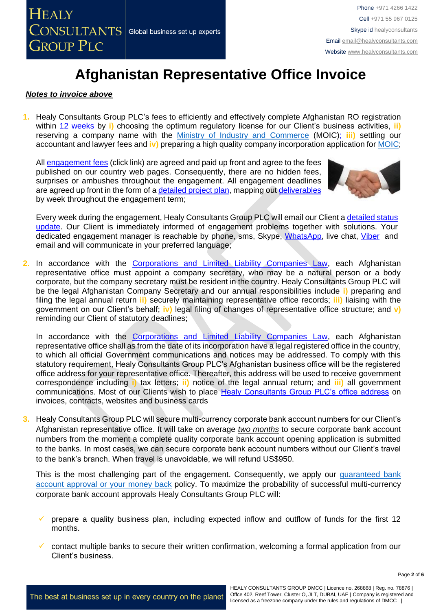

### *Notes to invoice above*

**1.** Healy Consultants Group PLC's fees to efficiently and effectively complete Afghanistan RO registration within [12 weeks](https://www.healyconsultants.com/afghanistan-company-registration/fees-timelines/#timelines) by **i)** choosing the optimum regulatory license for our Client's business activities, **ii)** reserving a company name with the [Ministry of Industry and Commerce](https://moci.gov.af/) (MOIC); **iii)** settling our accountant and lawyer fees and **iv)** preparing a high quality company incorporation application for [MOIC;](https://moci.gov.af/)

All [engagement fees](http://www.healyconsultants.com/company-registration-fees/) (click link) are agreed and paid up front and agree to the fees published on our country web pages. Consequently, there are no hidden fees, surprises or ambushes throughout the engagement. All engagement deadlines are agreed up front in the form of a [detailed project plan,](http://www.healyconsultants.com/index-important-links/example-project-plan/) mapping out [deliverables](http://www.healyconsultants.com/deliverables-to-our-clients/) by week throughout the engagement term;



Every week during the engagement, Healy Consultants Group PLC will email our Client a detailed status [update.](http://www.healyconsultants.com/index-important-links/weekly-engagement-status-email/) Our Client is immediately informed of engagement problems together with solutions. Your dedicated engagement manager is reachable by phone, sms, Skype, [WhatsApp,](https://www.whatsapp.com/) live chat, [Viber](http://www.viber.com/en/) and email and will communicate in your preferred language;

**2.** In accordance with the [Corporations and Limited Liability Companies Law,](https://afghaneconomics.com/law/1/Corporation%20and%20Limited%20Liability%20Law.pdf) each Afghanistan representative office must appoint a company secretary, who may be a natural person or a body corporate, but the company secretary must be resident in the country. Healy Consultants Group PLC will be the legal Afghanistan Company Secretary and our annual responsibilities include **i)** preparing and filing the legal annual return **ii)** securely maintaining representative office records; **iii)** liaising with the government on our Client's behalf; **iv)** legal filing of changes of representative office structure; and **v)** reminding our Client of statutory deadlines;

In accordance with the [Corporations and Limited Liability Companies Law,](https://afghaneconomics.com/law/1/Corporation%20and%20Limited%20Liability%20Law.pdf) each Afghanistan representative office shall as from the date of its incorporation have a legal registered office in the country, to which all official Government communications and notices may be addressed. To comply with this statutory requirement, Healy Consultants Group PLC's Afghanistan business office will be the registered office address for your representative office. Thereafter, this address will be used to receive government correspondence including **i)** tax letters; **ii)** notice of the legal annual return; and **iii)** all government communications. Most of our Clients wish to place [Healy Consultants Group PLC's office address](http://www.healyconsultants.com/corporate-outsourcing-services/company-secretary-and-legal-registered-office/) on invoices, contracts, websites and business cards

**3.** Healy Consultants Group PLC will secure multi-currency corporate bank account numbers for our Client's Afghanistan representative office. It will take on average *two months* to secure corporate bank account numbers from the moment a complete quality corporate bank account opening application is submitted to the banks. In most cases, we can secure corporate bank account numbers without our Client's travel to the bank's branch. When travel is unavoidable, we will refund US\$950.

This is the most challenging part of the engagement. Consequently, we apply our *guaranteed bank* [account approval or your money back](https://www.healyconsultants.com/corporate-banking-services/guaranteed-corporate-bank-account-approvals/) policy. To maximize the probability of successful multi-currency corporate bank account approvals Healy Consultants Group PLC will:

- prepare a quality business plan, including expected inflow and outflow of funds for the first 12 months.
- ✓ contact multiple banks to secure their written confirmation, welcoming a formal application from our Client's business.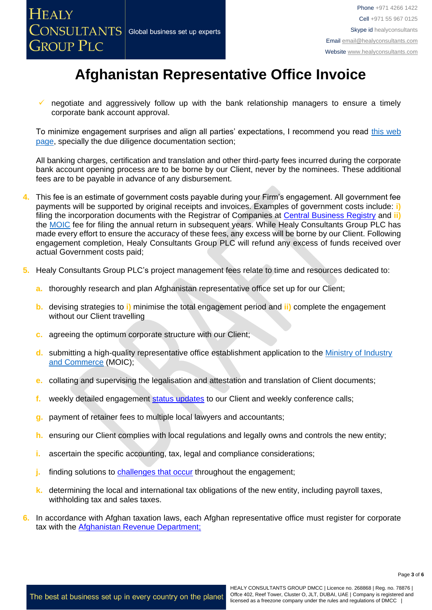

negotiate and aggressively follow up with the bank relationship managers to ensure a timely corporate bank account approval.

To minimize engagement surprises and align all parties' expectations, I recommend you read [this web](https://www.healyconsultants.com/multi-currency-corporate-bank-account/)  [page,](https://www.healyconsultants.com/multi-currency-corporate-bank-account/) specially the due diligence documentation section;

All banking charges, certification and translation and other third-party fees incurred during the corporate bank account opening process are to be borne by our Client, never by the nominees. These additional fees are to be payable in advance of any disbursement.

- **4.** This fee is an estimate of government costs payable during your Firm's engagement. All government fee payments will be supported by original receipts and invoices. Examples of government costs include: **i)** filing the incorporation documents with the Registrar of Companies at [Central Business Registry](http://www.acbr.gov.af/laws.html) and **ii)**  the **MOIC** fee for filing the annual return in subsequent years. While Healy Consultants Group PLC has made every effort to ensure the accuracy of these fees, any excess will be borne by our Client. Following engagement completion, Healy Consultants Group PLC will refund any excess of funds received over actual Government costs paid;
- **5.** Healy Consultants Group PLC's project management fees relate to time and resources dedicated to:
	- **a.** thoroughly research and plan Afghanistan representative office set up for our Client;
	- **b.** devising strategies to **i)** minimise the total engagement period and **ii)** complete the engagement without our Client travelling
	- **c.** agreeing the optimum corporate structure with our Client;
	- **d.** submitting a high-quality representative office establishment application to the [Ministry of Industry](https://moci.gov.af/)  [and Commerce](https://moci.gov.af/) (MOIC);
	- **e.** collating and supervising the legalisation and attestation and translation of Client documents;
	- **f.** weekly detailed engagement [status updates](http://www.healyconsultants.com/index-important-links/weekly-engagement-status-email/) to our Client and weekly conference calls;
	- **g.** payment of retainer fees to multiple local lawyers and accountants;
	- **h.** ensuring our Client complies with local regulations and legally owns and controls the new entity;
	- **i.** ascertain the specific accounting, tax, legal and compliance considerations;
	- **j.** finding solutions to [challenges that occur](http://www.healyconsultants.com/engagement-project-management/) throughout the engagement;
	- **k.** determining the local and international tax obligations of the new entity, including payroll taxes, withholding tax and sales taxes.
- **6.** In accordance with Afghan taxation laws, each Afghan representative office must register for corporate tax with the [Afghanistan Revenue Department;](http://ard.gov.af/#home)

Page **3** of **6**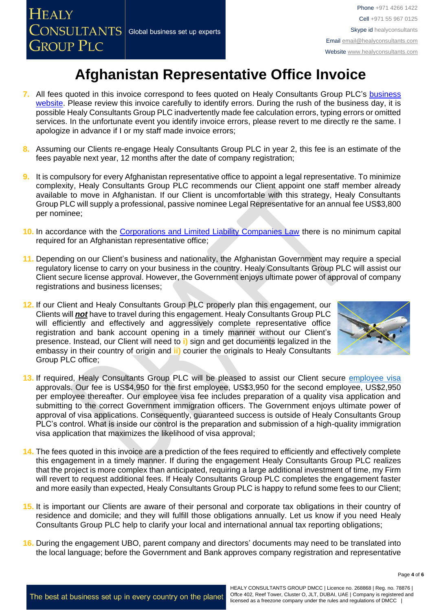- **7.** All fees quoted in this invoice correspond to fees quoted on Healy Consultants Group PLC's [business](http://www.healyconsultants.com/company-registration-fees/)  [website.](http://www.healyconsultants.com/company-registration-fees/) Please review this invoice carefully to identify errors. During the rush of the business day, it is possible Healy Consultants Group PLC inadvertently made fee calculation errors, typing errors or omitted services. In the unfortunate event you identify invoice errors, please revert to me directly re the same. I apologize in advance if I or my staff made invoice errors;
- **8.** Assuming our Clients re-engage Healy Consultants Group PLC in year 2, this fee is an estimate of the fees payable next year, 12 months after the date of company registration;
- **9.** It is compulsory for every Afghanistan representative office to appoint a legal representative. To minimize complexity, Healy Consultants Group PLC recommends our Client appoint one staff member already available to move in Afghanistan. If our Client is uncomfortable with this strategy, Healy Consultants Group PLC will supply a professional, passive nominee Legal Representative for an annual fee US\$3,800 per nominee;
- **10.** In accordance with the [Corporations and Limited Liability Companies Law](https://afghaneconomics.com/law/1/Corporation%20and%20Limited%20Liability%20Law.pdf) there is no minimum capital required for an Afghanistan representative office;
- **11.** Depending on our Client's business and nationality, the Afghanistan Government may require a special regulatory license to carry on your business in the country. Healy Consultants Group PLC will assist our Client secure license approval. However, the Government enjoys ultimate power of approval of company registrations and business licenses;
- **12.** If our Client and Healy Consultants Group PLC properly plan this engagement, our Clients will *not* have to travel during this engagement. Healy Consultants Group PLC will efficiently and effectively and aggressively complete representative office registration and bank account opening in a timely manner without our Client's presence. Instead, our Client will need to **i)** sign and get documents legalized in the embassy in their country of origin and **ii)** courier the originals to Healy Consultants Group PLC office;



- **13.** If required, Healy Consultants Group PLC will be pleased to assist our Client secure [employee visa](https://www.healyconsultants.com/corporate-advisory-services/migration/) approvals. Our fee is US\$4,950 for the first employee, US\$3,950 for the second employee, US\$2,950 per employee thereafter. Our employee visa fee includes preparation of a quality visa application and submitting to the correct Government immigration officers. The Government enjoys ultimate power of approval of visa applications. Consequently, guaranteed success is outside of Healy Consultants Group PLC's control. What is inside our control is the preparation and submission of a high-quality immigration visa application that maximizes the likelihood of visa approval;
- **14.** The fees quoted in this invoice are a prediction of the fees required to efficiently and effectively complete this engagement in a timely manner. If during the engagement Healy Consultants Group PLC realizes that the project is more complex than anticipated, requiring a large additional investment of time, my Firm will revert to request additional fees. If Healy Consultants Group PLC completes the engagement faster and more easily than expected, Healy Consultants Group PLC is happy to refund some fees to our Client;
- **15.** It is important our Clients are aware of their personal and corporate tax obligations in their country of residence and domicile; and they will fulfill those obligations annually. Let us know if you need Healy Consultants Group PLC help to clarify your local and international annual tax reporting obligations;
- **16.** During the engagement UBO, parent company and directors' documents may need to be translated into the local language; before the Government and Bank approves company registration and representative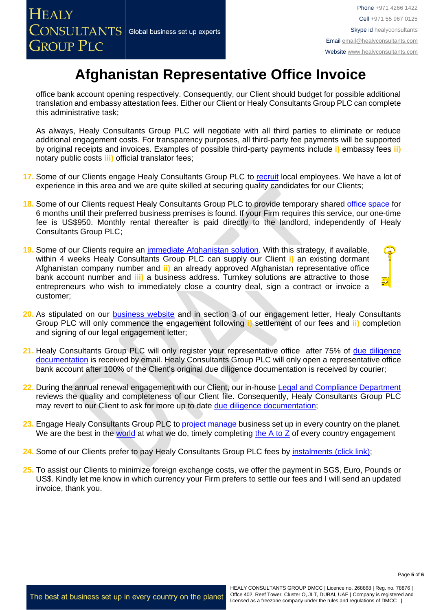office bank account opening respectively. Consequently, our Client should budget for possible additional translation and embassy attestation fees. Either our Client or Healy Consultants Group PLC can complete this administrative task;

As always, Healy Consultants Group PLC will negotiate with all third parties to eliminate or reduce additional engagement costs. For transparency purposes, all third-party fee payments will be supported by original receipts and invoices. Examples of possible third-party payments include **i)** embassy fees **ii)** notary public costs **iii)** official translator fees;

- **17.** Some of our Clients engage Healy Consultants Group PLC to [recruit](http://www.healyconsultants.com/corporate-outsourcing-services/how-we-help-our-clients-recruit-quality-employees/) local employees. We have a lot of experience in this area and we are quite skilled at securing quality candidates for our Clients;
- **18.** Some of our Clients request Healy Consultants Group PLC to provide temporary shared [office space](http://www.healyconsultants.com/virtual-office/) for 6 months until their preferred business premises is found. If your Firm requires this service, our one-time fee is US\$950. Monthly rental thereafter is paid directly to the landlord, independently of Healy Consultants Group PLC;
- **19.** Some of our Clients require an [immediate Afghanistan](http://www.healyconsultants.com/turnkey-solutions/) solution. With this strategy, if available, within 4 weeks Healy Consultants Group PLC can supply our Client **i)** an existing dormant Afghanistan company number and **ii)** an already approved Afghanistan representative office bank account number and **iii)** a business address. Turnkey solutions are attractive to those entrepreneurs who wish to immediately close a country deal, sign a contract or invoice a customer;
- **20.** As stipulated on our [business website](http://www.healyconsultants.com/) and in section 3 of our engagement letter, Healy Consultants Group PLC will only commence the engagement following **i)** settlement of our fees and **ii)** completion and signing of our legal engagement letter;
- 21. Healy Consultants Group PLC will only register your representative office after 75% of due diligence [documentation](http://www.healyconsultants.com/due-diligence/) is received by email. Healy Consultants Group PLC will only open a representative office bank account after 100% of the Client's original due diligence documentation is received by courier;
- **22.** During the annual renewal engagement with our Client, our in-house [Legal and Compliance Department](http://www.healyconsultants.com/about-us/key-personnel/cai-xin-profile/) reviews the quality and completeness of our Client file. Consequently, Healy Consultants Group PLC may revert to our Client to ask for more up to date [due diligence documentation;](http://www.healyconsultants.com/due-diligence/)
- **23.** Engage Healy Consultants Group PLC to [project manage](http://www.healyconsultants.com/project-manage-engagements/) business set up in every country on the planet. We are the best in the [world](http://www.healyconsultants.com/best-in-the-world/) at what we do, timely completing the  $A$  to  $Z$  of every country engagement
- 24. Some of our Clients prefer to pay Healy Consultants Group PLC fees by [instalments \(click link\);](http://www.healyconsultants.com/payment-by-instalments/)
- **25.** To assist our Clients to minimize foreign exchange costs, we offer the payment in SG\$, Euro, Pounds or US\$. Kindly let me know in which currency your Firm prefers to settle our fees and I will send an updated invoice, thank you.